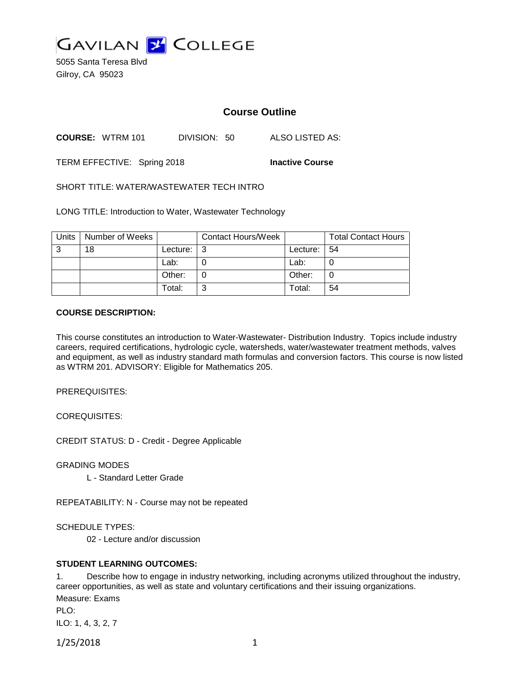

5055 Santa Teresa Blvd Gilroy, CA 95023

# **Course Outline**

**COURSE:** WTRM 101 DIVISION: 50 ALSO LISTED AS:

TERM EFFECTIVE: Spring 2018 **Inactive Course**

SHORT TITLE: WATER/WASTEWATER TECH INTRO

LONG TITLE: Introduction to Water, Wastewater Technology

| Units | Number of Weeks |                            | <b>Contact Hours/Week</b> |                 | <b>Total Contact Hours</b> |
|-------|-----------------|----------------------------|---------------------------|-----------------|----------------------------|
| 3     | 18              | Lecture: $\vert 3 \rangle$ |                           | Lecture: $ 54 $ |                            |
|       |                 | Lab:                       |                           | Lab:            |                            |
|       |                 | Other:                     |                           | Other:          |                            |
|       |                 | Total:                     | ⌒                         | Total:          | 54                         |

#### **COURSE DESCRIPTION:**

This course constitutes an introduction to Water-Wastewater- Distribution Industry. Topics include industry careers, required certifications, hydrologic cycle, watersheds, water/wastewater treatment methods, valves and equipment, as well as industry standard math formulas and conversion factors. This course is now listed as WTRM 201. ADVISORY: Eligible for Mathematics 205.

PREREQUISITES:

COREQUISITES:

CREDIT STATUS: D - Credit - Degree Applicable

GRADING MODES

L - Standard Letter Grade

REPEATABILITY: N - Course may not be repeated

SCHEDULE TYPES:

02 - Lecture and/or discussion

### **STUDENT LEARNING OUTCOMES:**

1. Describe how to engage in industry networking, including acronyms utilized throughout the industry, career opportunities, as well as state and voluntary certifications and their issuing organizations. Measure: Exams PLO: ILO: 1, 4, 3, 2, 7

1/25/2018 1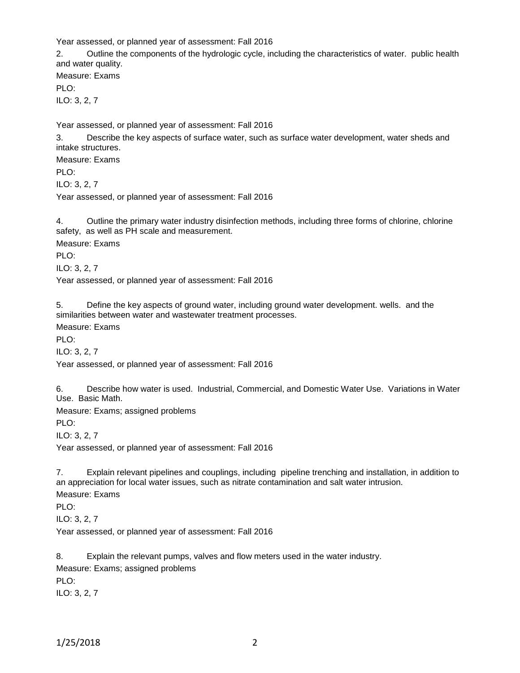Year assessed, or planned year of assessment: Fall 2016

2. Outline the components of the hydrologic cycle, including the characteristics of water. public health and water quality. Measure: Exams

PLO:

ILO: 3, 2, 7

Year assessed, or planned year of assessment: Fall 2016

3. Describe the key aspects of surface water, such as surface water development, water sheds and intake structures.

Measure: Exams

PLO:

ILO: 3, 2, 7

Year assessed, or planned year of assessment: Fall 2016

4. Outline the primary water industry disinfection methods, including three forms of chlorine, chlorine safety, as well as PH scale and measurement.

Measure: Exams

PLO:

ILO: 3, 2, 7

Year assessed, or planned year of assessment: Fall 2016

5. Define the key aspects of ground water, including ground water development. wells. and the similarities between water and wastewater treatment processes.

Measure: Exams

PLO<sup>.</sup>

ILO: 3, 2, 7

Year assessed, or planned year of assessment: Fall 2016

6. Describe how water is used. Industrial, Commercial, and Domestic Water Use. Variations in Water Use. Basic Math.

Measure: Exams; assigned problems

PLO:

ILO: 3, 2, 7

Year assessed, or planned year of assessment: Fall 2016

7. Explain relevant pipelines and couplings, including pipeline trenching and installation, in addition to an appreciation for local water issues, such as nitrate contamination and salt water intrusion.

Measure: Exams

PLO:

ILO: 3, 2, 7

Year assessed, or planned year of assessment: Fall 2016

8. Explain the relevant pumps, valves and flow meters used in the water industry.

Measure: Exams; assigned problems PLO:

ILO: 3, 2, 7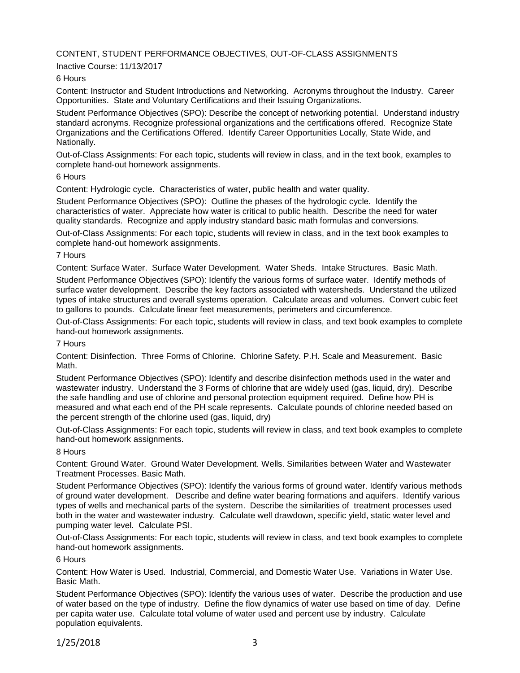## CONTENT, STUDENT PERFORMANCE OBJECTIVES, OUT-OF-CLASS ASSIGNMENTS

### Inactive Course: 11/13/2017

6 Hours

Content: Instructor and Student Introductions and Networking. Acronyms throughout the Industry. Career Opportunities. State and Voluntary Certifications and their Issuing Organizations.

Student Performance Objectives (SPO): Describe the concept of networking potential. Understand industry standard acronyms. Recognize professional organizations and the certifications offered. Recognize State Organizations and the Certifications Offered. Identify Career Opportunities Locally, State Wide, and Nationally.

Out-of-Class Assignments: For each topic, students will review in class, and in the text book, examples to complete hand-out homework assignments.

#### 6 Hours

Content: Hydrologic cycle. Characteristics of water, public health and water quality.

Student Performance Objectives (SPO): Outline the phases of the hydrologic cycle. Identify the characteristics of water. Appreciate how water is critical to public health. Describe the need for water quality standards. Recognize and apply industry standard basic math formulas and conversions.

Out-of-Class Assignments: For each topic, students will review in class, and in the text book examples to complete hand-out homework assignments.

#### 7 Hours

Content: Surface Water. Surface Water Development. Water Sheds. Intake Structures. Basic Math.

Student Performance Objectives (SPO): Identify the various forms of surface water. Identify methods of surface water development. Describe the key factors associated with watersheds. Understand the utilized types of intake structures and overall systems operation. Calculate areas and volumes. Convert cubic feet to gallons to pounds. Calculate linear feet measurements, perimeters and circumference.

Out-of-Class Assignments: For each topic, students will review in class, and text book examples to complete hand-out homework assignments.

#### 7 Hours

Content: Disinfection. Three Forms of Chlorine. Chlorine Safety. P.H. Scale and Measurement. Basic Math.

Student Performance Objectives (SPO): Identify and describe disinfection methods used in the water and wastewater industry. Understand the 3 Forms of chlorine that are widely used (gas, liquid, dry). Describe the safe handling and use of chlorine and personal protection equipment required. Define how PH is measured and what each end of the PH scale represents. Calculate pounds of chlorine needed based on the percent strength of the chlorine used (gas, liquid, dry)

Out-of-Class Assignments: For each topic, students will review in class, and text book examples to complete hand-out homework assignments.

#### 8 Hours

Content: Ground Water. Ground Water Development. Wells. Similarities between Water and Wastewater Treatment Processes. Basic Math.

Student Performance Objectives (SPO): Identify the various forms of ground water. Identify various methods of ground water development. Describe and define water bearing formations and aquifers. Identify various types of wells and mechanical parts of the system. Describe the similarities of treatment processes used both in the water and wastewater industry. Calculate well drawdown, specific yield, static water level and pumping water level. Calculate PSI.

Out-of-Class Assignments: For each topic, students will review in class, and text book examples to complete hand-out homework assignments.

#### 6 Hours

Content: How Water is Used. Industrial, Commercial, and Domestic Water Use. Variations in Water Use. Basic Math.

Student Performance Objectives (SPO): Identify the various uses of water. Describe the production and use of water based on the type of industry. Define the flow dynamics of water use based on time of day. Define per capita water use. Calculate total volume of water used and percent use by industry. Calculate population equivalents.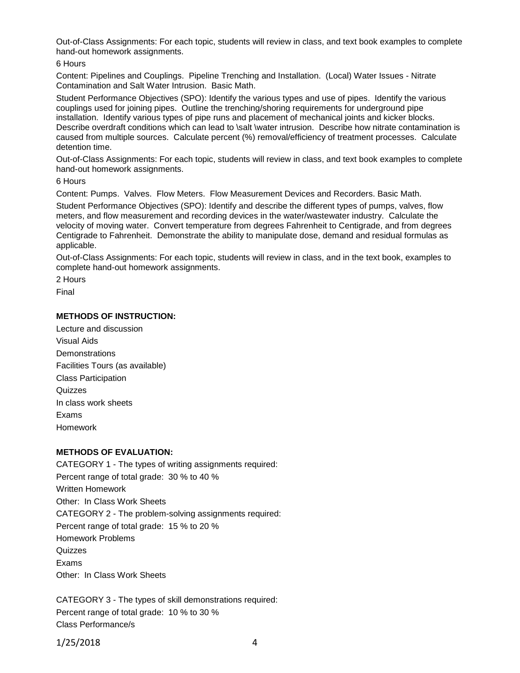Out-of-Class Assignments: For each topic, students will review in class, and text book examples to complete hand-out homework assignments.

### 6 Hours

Content: Pipelines and Couplings. Pipeline Trenching and Installation. (Local) Water Issues - Nitrate Contamination and Salt Water Intrusion. Basic Math.

Student Performance Objectives (SPO): Identify the various types and use of pipes. Identify the various couplings used for joining pipes. Outline the trenching/shoring requirements for underground pipe installation. Identify various types of pipe runs and placement of mechanical joints and kicker blocks. Describe overdraft conditions which can lead to \salt \water intrusion. Describe how nitrate contamination is caused from multiple sources. Calculate percent (%) removal/efficiency of treatment processes. Calculate detention time.

Out-of-Class Assignments: For each topic, students will review in class, and text book examples to complete hand-out homework assignments.

6 Hours

Content: Pumps. Valves. Flow Meters. Flow Measurement Devices and Recorders. Basic Math.

Student Performance Objectives (SPO): Identify and describe the different types of pumps, valves, flow meters, and flow measurement and recording devices in the water/wastewater industry. Calculate the velocity of moving water. Convert temperature from degrees Fahrenheit to Centigrade, and from degrees Centigrade to Fahrenheit. Demonstrate the ability to manipulate dose, demand and residual formulas as applicable.

Out-of-Class Assignments: For each topic, students will review in class, and in the text book, examples to complete hand-out homework assignments.

2 Hours

Final

### **METHODS OF INSTRUCTION:**

Lecture and discussion Visual Aids **Demonstrations** Facilities Tours (as available) Class Participation Quizzes In class work sheets Exams Homework

### **METHODS OF EVALUATION:**

CATEGORY 1 - The types of writing assignments required: Percent range of total grade: 30 % to 40 % Written Homework Other: In Class Work Sheets CATEGORY 2 - The problem-solving assignments required: Percent range of total grade: 15 % to 20 % Homework Problems Quizzes Exams Other: In Class Work Sheets

CATEGORY 3 - The types of skill demonstrations required: Percent range of total grade: 10 % to 30 % Class Performance/s

1/25/2018 4